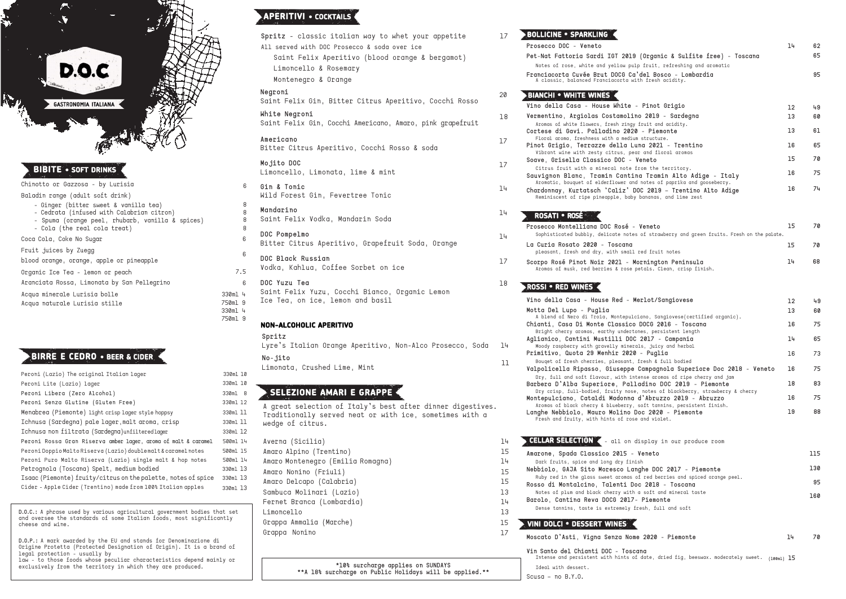**Rosso di Montalcino, Talenti Doc 2018 - Toscana** Notes of plum and black cherry with

**Barolo, Cantina Reva DOCG 2017- Piemonte** Dense tannins, taste is extremely  $frc$ 

| Peroni (Lazio) The original Italian lager                      | 330ml 10 |
|----------------------------------------------------------------|----------|
| Peroni Lite (Lazio) lager                                      | 330ml 10 |
| Peroni Libera (Zero Alcohol)                                   | 330ml 8  |
| Peroni Senza Glutine (Gluten Free)                             | 330ml 12 |
| Menabrea (Piemonte) light crisp lager style hoppsy             | 330ml 11 |
| Ichnusa (Sardegna) pale lager, malt aroma, crisp               | 330ml 11 |
| Ichnusa non filtrata (Sardegna)unfilteredlager                 | 330ml 12 |
| Peroni Rossa Gran Riserva amber lager, aroma of malt & caramel | 500ml 14 |
| Peroni Doppio Malto Riserva (Lazio) doublemalt & caramel notes | 500ml 15 |
| Peroni Puro Malto Riserva (Lazio) single malt & hop notes      | 500ml 14 |
| Petrognola (Toscana) Spelt, medium bodied                      | 330ml 13 |
| Isaac (Piemonte) fruity/citrus on the palette, notes of spice  | 330ml 13 |
| Cider - Apple Cider (Trentino) made from 100% Italian apples   | 330ml 13 |

**La Curia Rosato 2020 - Toscana** pleasant, fresh and dry, with small

Scorpo Rosé Pinot Noir 2021 - Mo Aromas of musk, red berries & rose pe

**Prosecco DOC - Veneto**

**Pet-Nat Fattoria Sardi IGT 2019 (Organic & Sulfite free) - Toscana**

Notes of rose, white and yellow pulp **Franciacorta Cuvée Brut DOCG Ca'del Bosco - Lombardia** A classic, balanced Franciacorta with

**Aglianico, Cantini Mustilli DOC 2017 - Campania** Moody raspberry with gravelly mineral

Bouqet of fresh cherries, pleasant, **Valpolicella Ripasso, Giuseppe Campagnola Superiore Doc 2018 - Veneto**

Dry, full and soft flavour, with int **Barbera D'Alba Superiore, Palla** 

 $Dry$  crisp, full-bodied, fruity nose, **Montepulciano, Cataldi Madonna d'Abruzzo 2019 - Abruzzo** Aromas of black cherry & blueberry,

#### **BIANCHI • WHITE WINES**

**Langhe Nebbiolo, Mauro Molino Doc 2020 - Piemonte** Fresh and fruity, with hints of rose

## **CELLAR SELECTION 4** - all on display in  $\mathbb{R}$

**Amarone, Spada Classico 2015 -**Dark fruits, spice and long dry finish

**Nebbiolo, GAJA Sito Moresco Land** Ruby red in the glass sweet aromas of

- **Vino della Casa - House White - Pinot Grigio**
- **Vermentino, Argiolas Costamolino 2019 - Sardegna** Aromas of white flowers, fresh zingy **Cortese di Gavi. Palladino 2020 - Piemonte**
- Floral aroma, freshness with a medium **Pinot Grigio, Terrazze della Luna 2021 - Trentino** Vibrant wine with zesty citrus, pear
- **Soave, Grisella Classico DOC - Veneto** Citrus fruit with a mineral note from **Sauvignon Blanc, Tramin Cantina Tramin Alto Adige - Italy**

Aromatic, bouquet of elderflower and **Chardonnay, Kurtatsch 'Caliz' DO** Reminiscent of ripe pineapple, baby

**(100ml) 15** Intense and persistent with hints of date, dried fig, beeswax. moderately sweet.

#### **ROSATI • ROSÉ**

**Prosecco Montelliana DOC Rosé -**Sophisticated bubbly, delicate notes

> Averna (Sicilia) 14 Amaro Alpino (Trentino) 15 Amaro Montenegro (Emilia Romagna) 14 Amaro Nonino (Friuli) 15 Amaro Delcapo (Calabria) 15 Sambuca Molinari (Lazio) 13 Fernet Branca (Lombardia) 14 Limoncello 13 Grappa Ammalia (Marche) Grappa Nonino

#### **ROSSI • RED WINES**

**Vino della Casa - House Red - Merlot/Sangiovese** 

**Motta Del Lupo - Puglia**

A blend of Nero di Troia, Montepulci  $Chianti, Casa$  Di Monte Classico Bright cherry aromas, earthy undertones, persistent length and length and length and length and length and len

#### **BOLLICINE • SPARKLING** 17

**Primitivo, Quota 29 Menhir 2020 - Puglia**

|                                                                                       | 14       | 62<br>65 |
|---------------------------------------------------------------------------------------|----------|----------|
| (Organic & Sulfite free) - Toscana<br>fruit, refreshing and aromatic                  |          |          |
| del Bosco - Lombardia                                                                 |          | 95       |
| h fresh acidity.                                                                      |          |          |
|                                                                                       |          |          |
| Pinot Grigio<br>o 2019 - Sardegna                                                     | 12<br>13 | 49<br>60 |
| fruit and acidity.                                                                    |          |          |
| - Piemonte<br>structure.                                                              | 13       | 61       |
| na 2021 - Trentino<br>and floral aromas                                               | 16       | 65       |
| eneto                                                                                 | 15       | 70       |
| rom the territory.<br>a Tramin Alto Adige - Italy<br>notes of paprika and gooseberry. | 16       | 75       |
| C 2019 - Trentino Alto Adige<br>bananas, and lime zest                                | 16       | 74       |
|                                                                                       |          |          |
|                                                                                       |          |          |
| Veneto<br>of strawberry and green fruits. Fresh on the palate.                        | 15       | 70       |
|                                                                                       | 15       | 70       |
| red fruit notes                                                                       |          |          |
| rnington Peninsula<br>etals. Clean, crisp finish.                                     | 14       | 68       |
|                                                                                       |          |          |
|                                                                                       |          |          |
| erlot/Sangiovese                                                                      | 12<br>13 | 49<br>60 |
| .ano, Sangiovese(certified organic).                                                  |          |          |
| DOCG 2016 - Toscana<br>es, persistent length                                          | 16       | 75       |
| 2017 - Campania<br>ls, juicy and herbal                                               | 14       | 65       |
| - Puglia                                                                              | 16       | 73       |
| iresh & full bodied<br>Campagnola Superiore Doc 2018 - Veneto                         | 16       | 75       |
| ense aromas of ripe cherry and jam<br>adino DOC 2019 - Piemonte                       | 18       | 83       |
| notes of blackberry, strawberry & cherry<br>d'Abruzzo 2019 - Abruzzo                  | 16       | 75       |
| soft tannins, persistent finish.                                                      |          |          |
| oc 2020 - Piemonte<br>and violet.                                                     | 19       | 88       |
|                                                                                       |          |          |
| isplay in our produce room                                                            |          |          |
| Veneto                                                                                |          | 115      |
| sh.<br>ghe DOC 2017 - Piemonte                                                        |          | 130      |
| f red berries and spiced orange peel.<br>c 2018 - Toscana                             |          | 95       |
| a soft and mineral taste                                                              |          | 160      |
| Piemonte<br>esh, full and soft                                                        |          |          |
|                                                                                       |          |          |
|                                                                                       |          |          |

## **VINI DOLCI • DESSERT WINES**

Ideal with dessert. Scusa – no B.Y.O.

**Spritz** - classic italian way to whet your appetite All served with DOC Prosecco & soda over ice Saint Felix Aperitivo (blood orange & bergamot) Limoncello & Rosemary Montenegro & Orange

#### **Negroni**

Saint Felix Gin, Bitter Citrus Aperitivo, Cocchi Rosso

**White Negroni** Saint Felix Gin, Cocchi Americano, Amaro, pink grapefruit

**Americano** Bitter Citrus Aperitivo, Cocchi Rosso & soda

**Mojito DOC** Limoncello, Limonata, lime & mint 20

18

17

17

**Mandarino** Saint Felix Vodka, Mandarin Soda

**DOC Pompelmo** Bitter Citrus Aperitivo, Grapefruit Soda, Orange

**Gin & Tonic** Wild Forest Gin, Fevertree Tonic 6

**DOC Yuzu Tea** Saint Felix Yuzu, Cocchi Bianco, Organic Lemon Ice Tea, on ice, lemon and basil 6 330ml 4 750ml 9

14

14

14

#### 330ml 4 750ml 9

15 17

**Moscato D'Asti, Vigna Senza Nome 2020 - Piemonte Vin Santo del Chianti DOC - Toscana 14 70** 

**D.O.C.:** A phrase used by various agricultural government bodies that set and oversee the standards of some Italian foods, most significantly cheese and wine.

**D.O.P.:** A mark awarded by the EU and stands for Denominazione di Origine Protetta (Protected Designation of Origin). It is a brand of legal protection - usually by law - to those foods whose peculiar characteristics depend mainly or

Acqua naturale Lurisia stille Chinotto or Gazzosa - by Lurisia Baladin range (adult soft drink) - Ginger (bitter sweet & vanilla tea) - Cedrata (infused with Calabrian citron) - Spuma (orange peel, rhubarb, vanilla & spices) - Cola (the real cola treat) Coca Cola, Coke No Sugar Fruit juices by Zuegg blood orange, orange, apple or pineapple Organic Ice Tea - lemon or peach Aranciata Rossa, Limonata by San Pellegrino Acqua minerale Lurisia bolle

**DOC Black Russian** Vodka, Kahlua, Coffee Sorbet on ice 7.5 6

exclusively from the territory in which they are produced.

#### **NON-ALCOHOLIC APERITIVO**

**Spritz**

Lyre's Italian Orange Aperitivo, Non-Alco Prosecco, Soda 14 **No-jito**

no-jito<br>Limonata, Crushed Lime, Mint 11

# **APERITIVI • COCKTAILS**

## **BIRRE E CEDRO • BEER & CIDER**



# **BIBITE • SOFT DRINKS**

## **SELEZIONE AMARI E GRAPPE**

A great selection of Italy's best after dinner digestives. Traditionally served neat or with ice, sometimes with a wedge of citrus.

> **\*10% surcharge applies on SUNDAYS \*\*A 18% surcharge on Public Holidays will be applied.\*\***

17

6

18